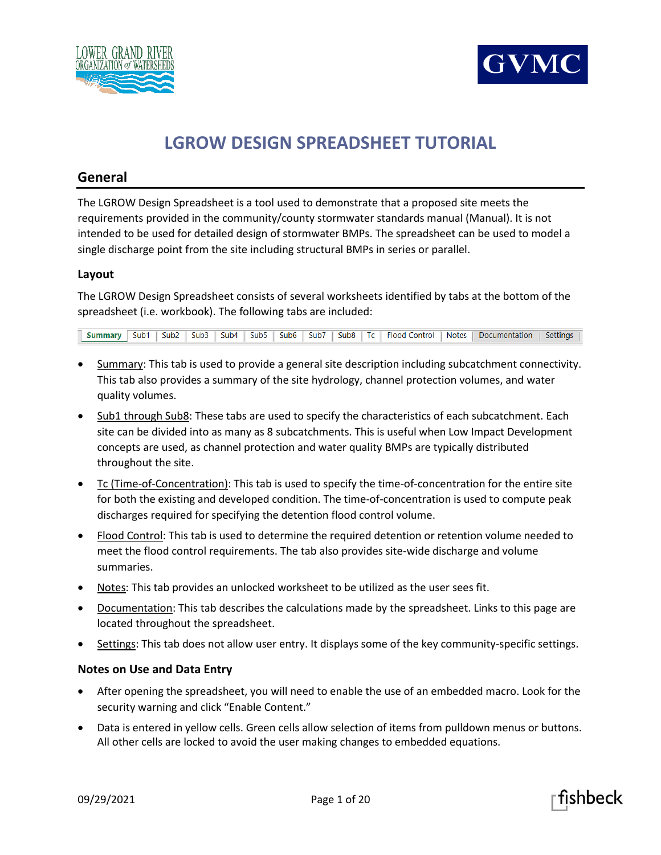



# **LGROW DESIGN SPREADSHEET TUTORIAL**

# **General**

The LGROW Design Spreadsheet is a tool used to demonstrate that a proposed site meets the requirements provided in the community/county stormwater standards manual (Manual). It is not intended to be used for detailed design of stormwater BMPs. The spreadsheet can be used to model a single discharge point from the site including structural BMPs in series or parallel.

# **Layout**

The LGROW Design Spreadsheet consists of several worksheets identified by tabs at the bottom of the spreadsheet (i.e. workbook). The following tabs are included:

Summary Sub1 | Sub2 | Sub3 | Sub4 | Sub5 | Sub6 | Sub7 | Sub8 | Tc | Flood Control | Notes | Documentation | Settings

- Summary: This tab is used to provide a general site description including subcatchment connectivity. This tab also provides a summary of the site hydrology, channel protection volumes, and water quality volumes.
- Sub1 through Sub8: These tabs are used to specify the characteristics of each subcatchment. Each site can be divided into as many as 8 subcatchments. This is useful when Low Impact Development concepts are used, as channel protection and water quality BMPs are typically distributed throughout the site.
- Tc (Time-of-Concentration): This tab is used to specify the time-of-concentration for the entire site for both the existing and developed condition. The time-of-concentration is used to compute peak discharges required for specifying the detention flood control volume.
- Flood Control: This tab is used to determine the required detention or retention volume needed to meet the flood control requirements. The tab also provides site-wide discharge and volume summaries.
- Notes: This tab provides an unlocked worksheet to be utilized as the user sees fit.
- Documentation: This tab describes the calculations made by the spreadsheet. Links to this page are located throughout the spreadsheet.
- Settings: This tab does not allow user entry. It displays some of the key community-specific settings.

# **Notes on Use and Data Entry**

- After opening the spreadsheet, you will need to enable the use of an embedded macro. Look for the security warning and click "Enable Content."
- Data is entered in yellow cells. Green cells allow selection of items from pulldown menus or buttons. All other cells are locked to avoid the user making changes to embedded equations.



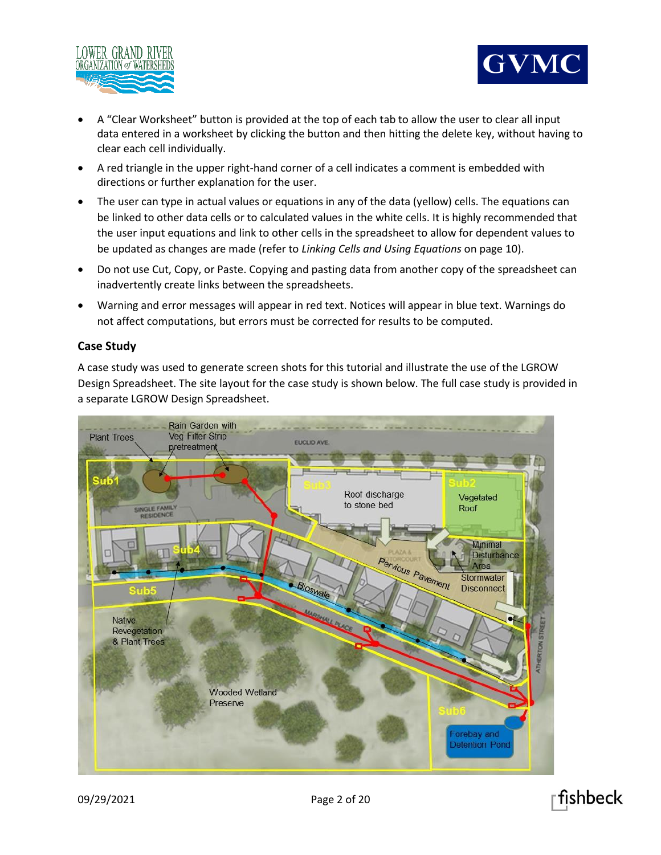



- A "Clear Worksheet" button is provided at the top of each tab to allow the user to clear all input data entered in a worksheet by clicking the button and then hitting the delete key, without having to clear each cell individually.
- A red triangle in the upper right-hand corner of a cell indicates a comment is embedded with directions or further explanation for the user.
- The user can type in actual values or equations in any of the data (yellow) cells. The equations can be linked to other data cells or to calculated values in the white cells. It is highly recommended that the user input equations and link to other cells in the spreadsheet to allow for dependent values to be updated as changes are made (refer to *Linking Cells and Using Equations* on page 10).
- Do not use Cut, Copy, or Paste. Copying and pasting data from another copy of the spreadsheet can inadvertently create links between the spreadsheets.
- Warning and error messages will appear in red text. Notices will appear in blue text. Warnings do not affect computations, but errors must be corrected for results to be computed.

# **Case Study**

A case study was used to generate screen shots for this tutorial and illustrate the use of the LGROW Design Spreadsheet. The site layout for the case study is shown below. The full case study is provided in a separate LGROW Design Spreadsheet.



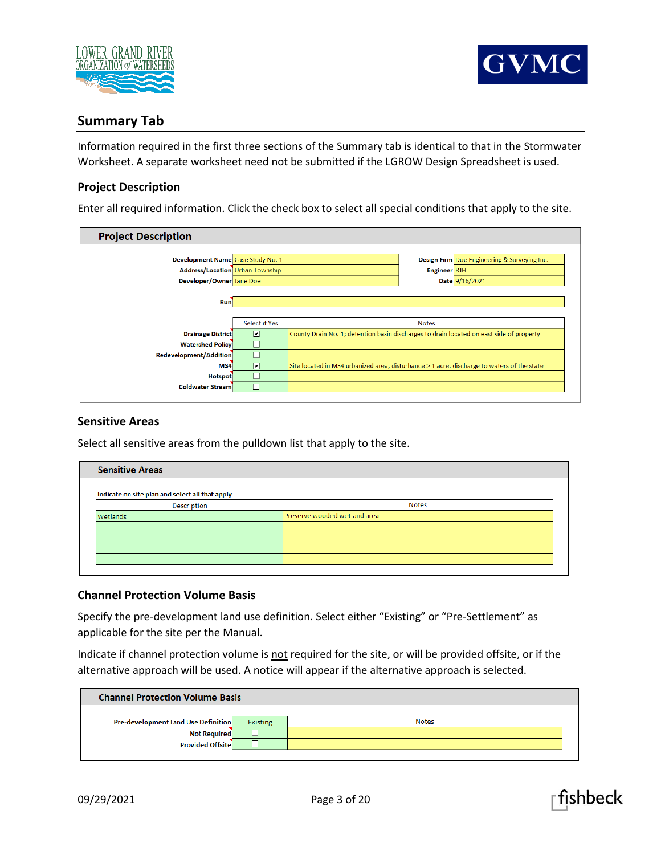



# **Summary Tab**

Information required in the first three sections of the Summary tab is identical to that in the Stormwater Worksheet. A separate worksheet need not be submitted if the LGROW Design Spreadsheet is used.

# **Project Description**

Enter all required information. Click the check box to select all special conditions that apply to the site.

| <b>Project Description</b>             |                      |                                                                                            |                                                                                          |                                              |  |  |  |  |
|----------------------------------------|----------------------|--------------------------------------------------------------------------------------------|------------------------------------------------------------------------------------------|----------------------------------------------|--|--|--|--|
|                                        |                      |                                                                                            |                                                                                          |                                              |  |  |  |  |
| Development Name Case Study No. 1      |                      |                                                                                            |                                                                                          | Design Firm Doe Engineering & Surveying Inc. |  |  |  |  |
| <b>Address/Location Urban Township</b> |                      |                                                                                            | Engineer RJH                                                                             |                                              |  |  |  |  |
| Developer/Owner Jane Doe               |                      |                                                                                            |                                                                                          | Date 9/16/2021                               |  |  |  |  |
|                                        |                      |                                                                                            |                                                                                          |                                              |  |  |  |  |
| <b>Run</b>                             |                      |                                                                                            |                                                                                          |                                              |  |  |  |  |
|                                        |                      |                                                                                            |                                                                                          |                                              |  |  |  |  |
|                                        | <b>Select if Yes</b> |                                                                                            | <b>Notes</b>                                                                             |                                              |  |  |  |  |
| <b>Drainage District</b>               | $\blacksquare$       |                                                                                            | County Drain No. 1; detention basin discharges to drain located on east side of property |                                              |  |  |  |  |
| <b>Watershed Policy</b>                | П                    |                                                                                            |                                                                                          |                                              |  |  |  |  |
| Redevelopment/Addition                 | $\Box$               |                                                                                            |                                                                                          |                                              |  |  |  |  |
| MS4                                    | $\boxed{v}$          | Site located in MS4 urbanized area; disturbance > 1 acre; discharge to waters of the state |                                                                                          |                                              |  |  |  |  |
| <b>Hotspot</b>                         | $\Box$               |                                                                                            |                                                                                          |                                              |  |  |  |  |
| <b>Coldwater Stream</b>                | П                    |                                                                                            |                                                                                          |                                              |  |  |  |  |
|                                        |                      |                                                                                            |                                                                                          |                                              |  |  |  |  |

#### **Sensitive Areas**

Select all sensitive areas from the pulldown list that apply to the site.

| <b>Sensitive Areas</b>                           |                              |  |  |  |  |
|--------------------------------------------------|------------------------------|--|--|--|--|
| Indicate on site plan and select all that apply. |                              |  |  |  |  |
| <b>Description</b>                               | <b>Notes</b>                 |  |  |  |  |
| Wetlands                                         | Preserve wooded wetland area |  |  |  |  |
|                                                  |                              |  |  |  |  |
|                                                  |                              |  |  |  |  |
|                                                  |                              |  |  |  |  |
|                                                  |                              |  |  |  |  |

# **Channel Protection Volume Basis**

Specify the pre-development land use definition. Select either "Existing" or "Pre-Settlement" as applicable for the site per the Manual.

Indicate if channel protection volume is not required for the site, or will be provided offsite, or if the alternative approach will be used. A notice will appear if the alternative approach is selected.

| <b>Channel Protection Volume Basis</b>     |                 |              |  |  |  |  |
|--------------------------------------------|-----------------|--------------|--|--|--|--|
| <b>Pre-development Land Use Definition</b> | <b>Existing</b> | <b>Notes</b> |  |  |  |  |
| <b>Not Required</b>                        |                 |              |  |  |  |  |
| Provided Offsite                           |                 |              |  |  |  |  |



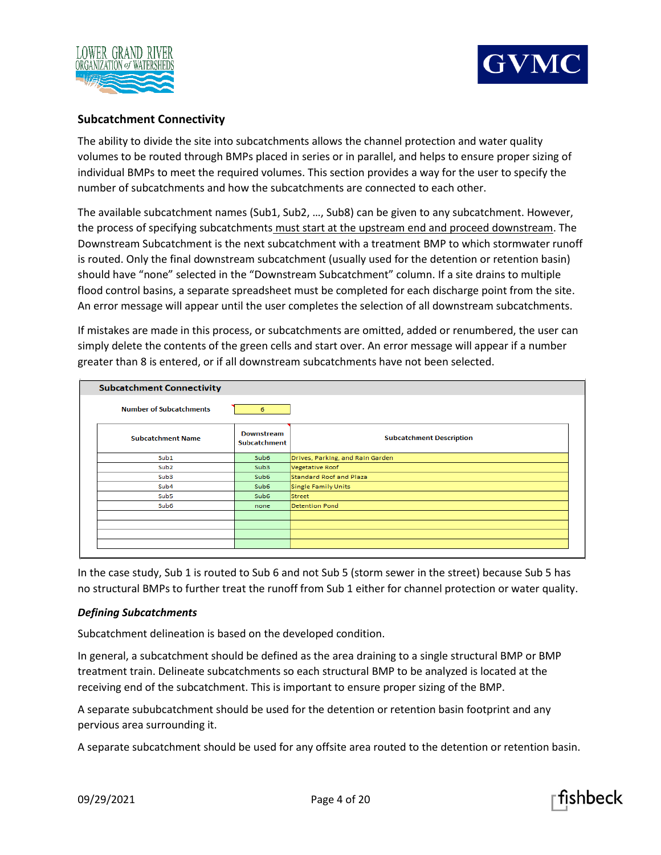



# **Subcatchment Connectivity**

The ability to divide the site into subcatchments allows the channel protection and water quality volumes to be routed through BMPs placed in series or in parallel, and helps to ensure proper sizing of individual BMPs to meet the required volumes. This section provides a way for the user to specify the number of subcatchments and how the subcatchments are connected to each other.

The available subcatchment names (Sub1, Sub2, …, Sub8) can be given to any subcatchment. However, the process of specifying subcatchments must start at the upstream end and proceed downstream. The Downstream Subcatchment is the next subcatchment with a treatment BMP to which stormwater runoff is routed. Only the final downstream subcatchment (usually used for the detention or retention basin) should have "none" selected in the "Downstream Subcatchment" column. If a site drains to multiple flood control basins, a separate spreadsheet must be completed for each discharge point from the site. An error message will appear until the user completes the selection of all downstream subcatchments.

If mistakes are made in this process, or subcatchments are omitted, added or renumbered, the user can simply delete the contents of the green cells and start over. An error message will appear if a number greater than 8 is entered, or if all downstream subcatchments have not been selected.

| <b>Subcatchment Connectivity</b> |                                   |                                  |
|----------------------------------|-----------------------------------|----------------------------------|
| <b>Number of Subcatchments</b>   | 6                                 |                                  |
| <b>Subcatchment Name</b>         | Downstream<br><b>Subcatchment</b> | <b>Subcatchment Description</b>  |
| Sub1                             | Sub6                              | Drives, Parking, and Rain Garden |
| Sub <sub>2</sub>                 | Sub3                              | Vegetative Roof                  |
| Sub <sub>3</sub>                 | Sub <sub>6</sub>                  | <b>Standard Roof and Plaza</b>   |
| Sub <sub>4</sub>                 | Sub6                              | <b>Single Family Units</b>       |
| Sub5                             | Sub <sub>6</sub>                  | <b>Street</b>                    |
| Sub <sub>6</sub>                 | none                              | <b>Detention Pond</b>            |
|                                  |                                   |                                  |
|                                  |                                   |                                  |
|                                  |                                   |                                  |
|                                  |                                   |                                  |

In the case study, Sub 1 is routed to Sub 6 and not Sub 5 (storm sewer in the street) because Sub 5 has no structural BMPs to further treat the runoff from Sub 1 either for channel protection or water quality.

# *Defining Subcatchments*

Subcatchment delineation is based on the developed condition.

In general, a subcatchment should be defined as the area draining to a single structural BMP or BMP treatment train. Delineate subcatchments so each structural BMP to be analyzed is located at the receiving end of the subcatchment. This is important to ensure proper sizing of the BMP.

A separate sububcatchment should be used for the detention or retention basin footprint and any pervious area surrounding it.

A separate subcatchment should be used for any offsite area routed to the detention or retention basin.

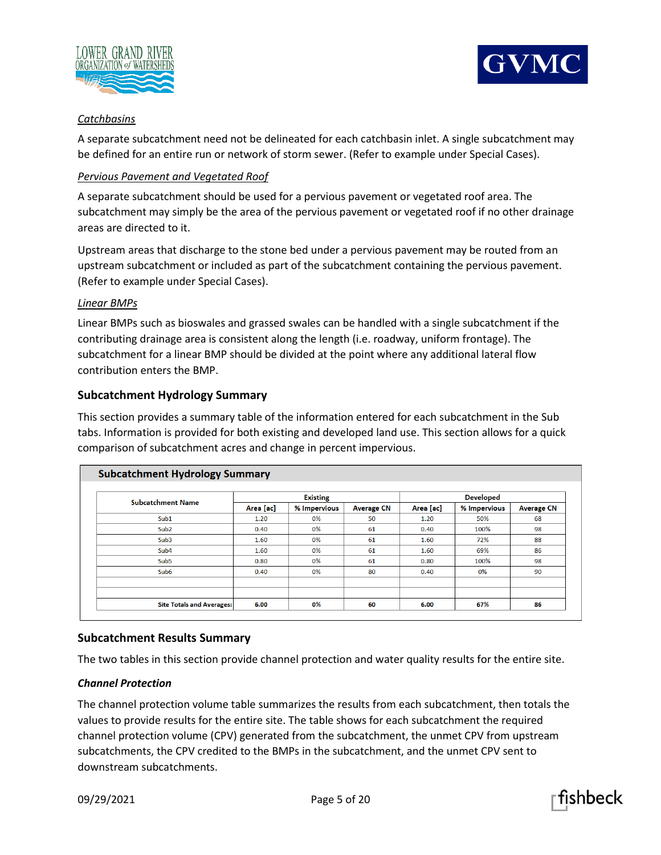



# *Catchbasins*

A separate subcatchment need not be delineated for each catchbasin inlet. A single subcatchment may be defined for an entire run or network of storm sewer. (Refer to example under Special Cases).

# *Pervious Pavement and Vegetated Roof*

A separate subcatchment should be used for a pervious pavement or vegetated roof area. The subcatchment may simply be the area of the pervious pavement or vegetated roof if no other drainage areas are directed to it.

Upstream areas that discharge to the stone bed under a pervious pavement may be routed from an upstream subcatchment or included as part of the subcatchment containing the pervious pavement. (Refer to example under Special Cases).

#### *Linear BMPs*

Linear BMPs such as bioswales and grassed swales can be handled with a single subcatchment if the contributing drainage area is consistent along the length (i.e. roadway, uniform frontage). The subcatchment for a linear BMP should be divided at the point where any additional lateral flow contribution enters the BMP.

# **Subcatchment Hydrology Summary**

This section provides a summary table of the information entered for each subcatchment in the Sub tabs. Information is provided for both existing and developed land use. This section allows for a quick comparison of subcatchment acres and change in percent impervious.

| <b>Subcatchment Hydrology Summary</b> |                 |              |                   |                  |              |                   |  |  |
|---------------------------------------|-----------------|--------------|-------------------|------------------|--------------|-------------------|--|--|
|                                       | <b>Existing</b> |              |                   | <b>Developed</b> |              |                   |  |  |
| <b>Subcatchment Name</b>              | Area [ac]       | % Impervious | <b>Average CN</b> | Area [ac]        | % Impervious | <b>Average CN</b> |  |  |
| Sub1                                  | 1.20            | 0%           | 50                | 1.20             | 50%          | 68                |  |  |
| Sub <sub>2</sub>                      | 0.40            | 0%           | 61                | 0.40             | 100%         | 98                |  |  |
| Sub <sub>3</sub>                      | 1.60            | 0%           | 61                | 1.60             | 72%          | 88                |  |  |
| Sub <sub>4</sub>                      | 1.60            | 0%           | 61                | 1.60             | 69%          | 86                |  |  |
| Sub <sub>5</sub>                      | 0.80            | 0%           | 61                | 0.80             | 100%         | 98                |  |  |
| Sub <sub>6</sub>                      | 0.40            | 0%           | 80                | 0.40             | 0%           | 90                |  |  |
|                                       |                 |              |                   |                  |              |                   |  |  |
|                                       |                 |              |                   |                  |              |                   |  |  |
| <b>Site Totals and Averages:</b>      | 6.00            | 0%           | 60                | 6.00             | 67%          | 86                |  |  |

# **Subcatchment Results Summary**

The two tables in this section provide channel protection and water quality results for the entire site.

# *Channel Protection*

The channel protection volume table summarizes the results from each subcatchment, then totals the values to provide results for the entire site. The table shows for each subcatchment the required channel protection volume (CPV) generated from the subcatchment, the unmet CPV from upstream subcatchments, the CPV credited to the BMPs in the subcatchment, and the unmet CPV sent to downstream subcatchments.

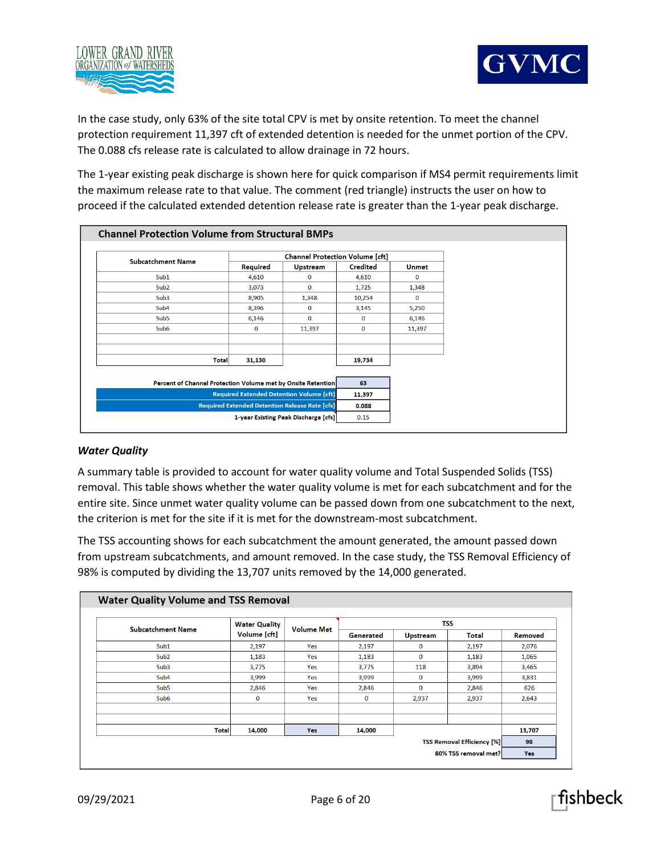



In the case study, only 63% of the site total CPV is met by onsite retention. To meet the channel protection requirement 11,397 cft of extended detention is needed for the unmet portion of the CPV. The 0.088 cfs release rate is calculated to allow drainage in 72 hours.

The 1-year existing peak discharge is shown here for quick comparison if MS4 permit requirements limit the maximum release rate to that value. The comment (red triangle) instructs the user on how to proceed if the calculated extended detention release rate is greater than the 1-year peak discharge.

|                                                              |                 | <b>Channel Protection Volume [cft]</b>                |                 |              |
|--------------------------------------------------------------|-----------------|-------------------------------------------------------|-----------------|--------------|
| <b>Subcatchment Name</b>                                     | <b>Required</b> | <b>Upstream</b>                                       | <b>Credited</b> | <b>Unmet</b> |
| Sub1                                                         | 4,610           | $\bf{0}$                                              | 4,610           | $\Omega$     |
| Sub <sub>2</sub>                                             | 3,073           | $\bf{0}$                                              | 1,725           | 1,348        |
| Sub3                                                         | 8,905           | 1,348                                                 | 10,254          | $\Omega$     |
| Sub <sub>4</sub>                                             | 8,396           | $\Omega$                                              | 3,145           | 5,250        |
| Sub <sub>5</sub>                                             | 6,146           | $\bf{0}$                                              | $\Omega$        | 6,146        |
| Sub <sub>6</sub>                                             | $\mathbf 0$     | 11,397                                                | $\mathbf 0$     | 11,397       |
|                                                              |                 |                                                       |                 |              |
| Total                                                        | 31,130          |                                                       | 19,734          |              |
|                                                              |                 |                                                       |                 |              |
| Percent of Channel Protection Volume met by Onsite Retention |                 |                                                       | 63              |              |
|                                                              |                 | <b>Required Extended Detention Volume [cft]</b>       | 11,397          |              |
|                                                              |                 | <b>Required Extended Detention Release Rate [cfs]</b> | 0.088           |              |
|                                                              |                 | 1-year Existing Peak Discharge [cfs]                  | 0.15            |              |

# *Water Quality*

A summary table is provided to account for water quality volume and Total Suspended Solids (TSS) removal. This table shows whether the water quality volume is met for each subcatchment and for the entire site. Since unmet water quality volume can be passed down from one subcatchment to the next, the criterion is met for the site if it is met for the downstream-most subcatchment.

The TSS accounting shows for each subcatchment the amount generated, the amount passed down from upstream subcatchments, and amount removed. In the case study, the TSS Removal Efficiency of 98% is computed by dividing the 13,707 units removed by the 14,000 generated.

| <b>Subcatchment Name</b> | <b>Water Quality</b><br>Volume [cft] |                   |           | <b>TSS</b>                        |              |         |
|--------------------------|--------------------------------------|-------------------|-----------|-----------------------------------|--------------|---------|
|                          |                                      | <b>Volume Met</b> | Generated | <b>Upstream</b>                   | <b>Total</b> | Removed |
| Sub1                     | 2,197                                | Yes               | 2,197     | $\bf{0}$                          | 2,197        | 2,076   |
| Sub <sub>2</sub>         | 1,183                                | Yes               | 1,183     | $\bf{0}$                          | 1,183        | 1,065   |
| Sub3                     | 3,775                                | Yes               | 3,775     | 118                               | 3,894        | 3,465   |
| Sub <sub>4</sub>         | 3,999                                | Yes               | 3,999     | $\mathbf 0$                       | 3,999        | 3,831   |
| Sub <sub>5</sub>         | 2,846                                | Yes               | 2,846     | $\mathbf{0}$                      | 2,846        | 626     |
| Sub <sub>6</sub>         | 0                                    | Yes               | $\bf{0}$  | 2,937                             | 2,937        | 2,643   |
|                          |                                      |                   |           |                                   |              |         |
| <b>Total</b>             | 14,000                               | Yes               | 14,000    |                                   |              | 13,707  |
|                          |                                      |                   |           | <b>TSS Removal Efficiency [%]</b> | 98           |         |

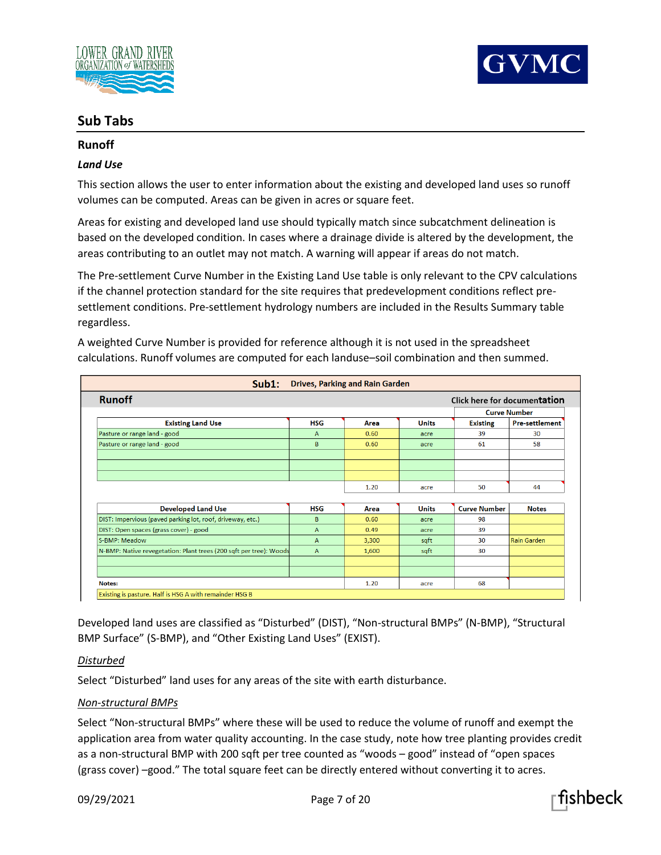



# **Sub Tabs**

# **Runoff**

# *Land Use*

This section allows the user to enter information about the existing and developed land uses so runoff volumes can be computed. Areas can be given in acres or square feet.

Areas for existing and developed land use should typically match since subcatchment delineation is based on the developed condition. In cases where a drainage divide is altered by the development, the areas contributing to an outlet may not match. A warning will appear if areas do not match.

The Pre-settlement Curve Number in the Existing Land Use table is only relevant to the CPV calculations if the channel protection standard for the site requires that predevelopment conditions reflect presettlement conditions. Pre-settlement hydrology numbers are included in the Results Summary table regardless.

| Sub1:                                                              |              | <b>Drives, Parking and Rain Garden</b> |              |                              |                       |
|--------------------------------------------------------------------|--------------|----------------------------------------|--------------|------------------------------|-----------------------|
| <b>Runoff</b>                                                      |              |                                        |              | Click here for documentation |                       |
|                                                                    |              |                                        |              |                              | <b>Curve Number</b>   |
| <b>Existing Land Use</b>                                           | HSG          | Area                                   | <b>Units</b> | <b>Existing</b>              | <b>Pre-settlement</b> |
| Pasture or range land - good                                       | A            | 0.60                                   | acre         | 39                           | 30                    |
| Pasture or range land - good                                       | B            | 0.60                                   | acre         | 61                           | 58                    |
|                                                                    |              |                                        |              |                              |                       |
|                                                                    |              |                                        |              |                              |                       |
|                                                                    |              | 1.20                                   | acre         | 50                           | 44                    |
|                                                                    |              |                                        |              |                              |                       |
| <b>Developed Land Use</b>                                          | <b>HSG</b>   | Area                                   | <b>Units</b> | <b>Curve Number</b>          | <b>Notes</b>          |
| DIST: Impervious (paved parking lot, roof, driveway, etc.)         | B            | 0.60                                   | acre         | 98                           |                       |
| DIST: Open spaces (grass cover) - good                             | A            | 0.49                                   | acre         | 39                           |                       |
| S-BMP: Meadow                                                      | A            | 3,300                                  | sqft         | 30                           | <b>Rain Garden</b>    |
| N-BMP: Native revegetation: Plant trees (200 sqft per tree): Woods | $\mathsf{A}$ | 1,600                                  | sqft         | 30                           |                       |
|                                                                    |              |                                        |              |                              |                       |
|                                                                    |              |                                        |              |                              |                       |
| Notes:                                                             |              | 1.20                                   | acre         | 68                           |                       |

A weighted Curve Number is provided for reference although it is not used in the spreadsheet calculations. Runoff volumes are computed for each landuse–soil combination and then summed.

Developed land uses are classified as "Disturbed" (DIST), "Non-structural BMPs" (N-BMP), "Structural BMP Surface" (S-BMP), and "Other Existing Land Uses" (EXIST).

# *Disturbed*

Select "Disturbed" land uses for any areas of the site with earth disturbance.

# *Non-structural BMPs*

Select "Non-structural BMPs" where these will be used to reduce the volume of runoff and exempt the application area from water quality accounting. In the case study, note how tree planting provides credit as a non-structural BMP with 200 sqft per tree counted as "woods – good" instead of "open spaces (grass cover) –good." The total square feet can be directly entered without converting it to acres.

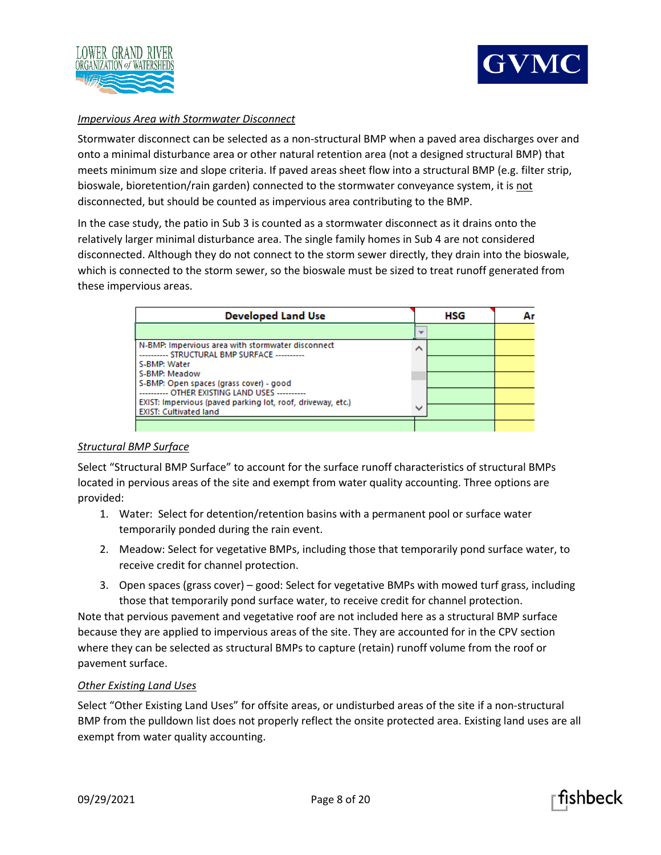



# *Impervious Area with Stormwater Disconnect*

Stormwater disconnect can be selected as a non-structural BMP when a paved area discharges over and onto a minimal disturbance area or other natural retention area (not a designed structural BMP) that meets minimum size and slope criteria. If paved areas sheet flow into a structural BMP (e.g. filter strip, bioswale, bioretention/rain garden) connected to the stormwater conveyance system, it is not disconnected, but should be counted as impervious area contributing to the BMP.

In the case study, the patio in Sub 3 is counted as a stormwater disconnect as it drains onto the relatively larger minimal disturbance area. The single family homes in Sub 4 are not considered disconnected. Although they do not connect to the storm sewer directly, they drain into the bioswale, which is connected to the storm sewer, so the bioswale must be sized to treat runoff generated from these impervious areas.

| <b>Developed Land Use</b>                                                                                         |              | HSG |  |
|-------------------------------------------------------------------------------------------------------------------|--------------|-----|--|
|                                                                                                                   |              |     |  |
| N-BMP: Impervious area with stormwater disconnect<br>---------- STRUCTURAL BMP SURFACE ----------<br>S-BMP: Water | ↗            |     |  |
| S-BMP: Meadow<br>S-BMP: Open spaces (grass cover) - good<br>---------- OTHER EXISTING LAND USES ----------        |              |     |  |
| EXIST: Impervious (paved parking lot, roof, driveway, etc.)<br><b>EXIST: Cultivated land</b>                      | $\checkmark$ |     |  |

# *Structural BMP Surface*

Select "Structural BMP Surface" to account for the surface runoff characteristics of structural BMPs located in pervious areas of the site and exempt from water quality accounting. Three options are provided:

- 1. Water: Select for detention/retention basins with a permanent pool or surface water temporarily ponded during the rain event.
- 2. Meadow: Select for vegetative BMPs, including those that temporarily pond surface water, to receive credit for channel protection.
- 3. Open spaces (grass cover) good: Select for vegetative BMPs with mowed turf grass, including those that temporarily pond surface water, to receive credit for channel protection.

Note that pervious pavement and vegetative roof are not included here as a structural BMP surface because they are applied to impervious areas of the site. They are accounted for in the CPV section where they can be selected as structural BMPs to capture (retain) runoff volume from the roof or pavement surface.

# *Other Existing Land Uses*

Select "Other Existing Land Uses" for offsite areas, or undisturbed areas of the site if a non-structural BMP from the pulldown list does not properly reflect the onsite protected area. Existing land uses are all exempt from water quality accounting.



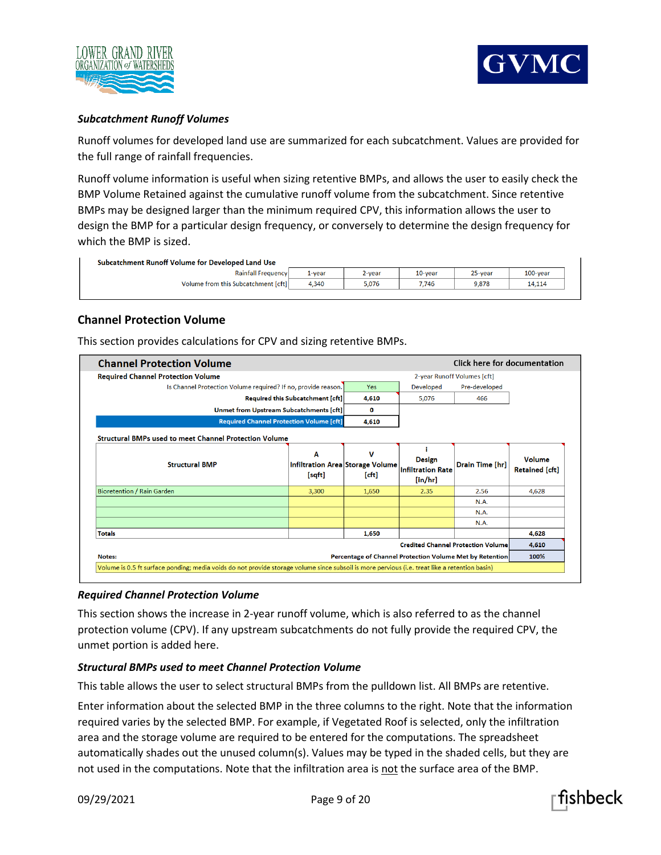



# *Subcatchment Runoff Volumes*

Runoff volumes for developed land use are summarized for each subcatchment. Values are provided for the full range of rainfall frequencies.

Runoff volume information is useful when sizing retentive BMPs, and allows the user to easily check the BMP Volume Retained against the cumulative runoff volume from the subcatchment. Since retentive BMPs may be designed larger than the minimum required CPV, this information allows the user to design the BMP for a particular design frequency, or conversely to determine the design frequency for which the BMP is sized.

| Subcatchment Runoff Volume for Developed Land Use |        |           |            |         |             |  |
|---------------------------------------------------|--------|-----------|------------|---------|-------------|--|
| <b>Rainfall Frequency</b>                         | 1-vear | $2$ -vear | $10$ -vear | 25-year | $100$ -vear |  |
| Volume from this Subcatchment [cft]               | 4.340  | 5.076     | 7.746      | 9.878   | 14,114      |  |

# **Channel Protection Volume**

This section provides calculations for CPV and sizing retentive BMPs.

| <b>Channel Protection Volume</b>                                                                                                               | Click here for documentation     |                                                                                |                                                  |                                           |                                 |
|------------------------------------------------------------------------------------------------------------------------------------------------|----------------------------------|--------------------------------------------------------------------------------|--------------------------------------------------|-------------------------------------------|---------------------------------|
| <b>Required Channel Protection Volume</b>                                                                                                      |                                  |                                                                                | 2-year Runoff Volumes [cft]                      |                                           |                                 |
| Is Channel Protection Volume required? If no, provide reason.                                                                                  |                                  | <b>Yes</b>                                                                     | Developed                                        | Pre-developed                             |                                 |
|                                                                                                                                                | Required this Subcatchment [cft] | 4,610                                                                          | 5,076                                            | 466                                       |                                 |
| Unmet from Upstream Subcatchments [cft]                                                                                                        |                                  | O                                                                              |                                                  |                                           |                                 |
| <b>Required Channel Protection Volume [cft]</b>                                                                                                | 4,610                            |                                                                                |                                                  |                                           |                                 |
| <b>Structural BMPs used to meet Channel Protection Volume</b>                                                                                  |                                  |                                                                                |                                                  |                                           |                                 |
| <b>Structural BMP</b>                                                                                                                          | Α<br>[sqft]                      | v<br><b>Infiltration Area Storage Volume</b><br>[ <sub>cf</sub> ] <sub>1</sub> | Design<br><b>Infiltration Rate</b><br>$[$ in/hr] | Drain Time [hr]                           | Volume<br><b>Retained</b> [cft] |
| <b>Bioretention / Rain Garden</b>                                                                                                              | 3,300                            | 1,650                                                                          | 2.35                                             | 2.56                                      | 4,628                           |
|                                                                                                                                                |                                  |                                                                                |                                                  | <b>N.A.</b>                               |                                 |
|                                                                                                                                                |                                  |                                                                                |                                                  | <b>N.A.</b>                               |                                 |
|                                                                                                                                                |                                  |                                                                                |                                                  | <b>N.A.</b>                               |                                 |
| <b>Totals</b>                                                                                                                                  |                                  | 1,650                                                                          |                                                  |                                           | 4.628                           |
|                                                                                                                                                |                                  |                                                                                |                                                  | <b>Credited Channel Protection Volume</b> | 4,610                           |
| Notes:                                                                                                                                         |                                  | Percentage of Channel Protection Volume Met by Retention                       |                                                  |                                           | 100%                            |
| Volume is 0.5 ft surface ponding; media voids do not provide storage volume since subsoil is more pervious (i.e. treat like a retention basin) |                                  |                                                                                |                                                  |                                           |                                 |

#### *Required Channel Protection Volume*

This section shows the increase in 2-year runoff volume, which is also referred to as the channel protection volume (CPV). If any upstream subcatchments do not fully provide the required CPV, the unmet portion is added here.

#### *Structural BMPs used to meet Channel Protection Volume*

This table allows the user to select structural BMPs from the pulldown list. All BMPs are retentive.

Enter information about the selected BMP in the three columns to the right. Note that the information required varies by the selected BMP. For example, if Vegetated Roof is selected, only the infiltration area and the storage volume are required to be entered for the computations. The spreadsheet automatically shades out the unused column(s). Values may be typed in the shaded cells, but they are not used in the computations. Note that the infiltration area is not the surface area of the BMP.

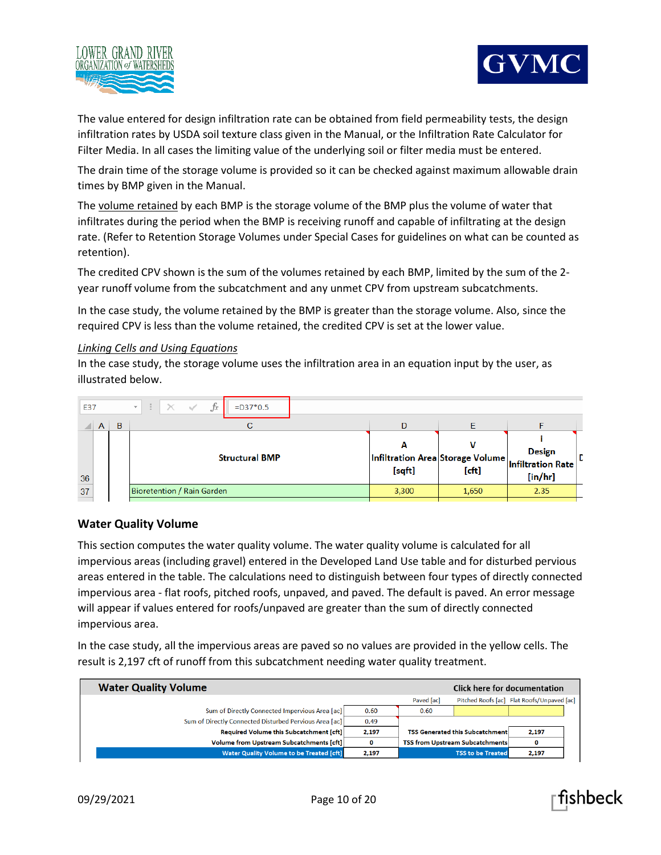



The value entered for design infiltration rate can be obtained from field permeability tests, the design infiltration rates by USDA soil texture class given in the Manual, or the Infiltration Rate Calculator for Filter Media. In all cases the limiting value of the underlying soil or filter media must be entered.

The drain time of the storage volume is provided so it can be checked against maximum allowable drain times by BMP given in the Manual.

The volume retained by each BMP is the storage volume of the BMP plus the volume of water that infiltrates during the period when the BMP is receiving runoff and capable of infiltrating at the design rate. (Refer to Retention Storage Volumes under Special Cases for guidelines on what can be counted as retention).

The credited CPV shown is the sum of the volumes retained by each BMP, limited by the sum of the 2 year runoff volume from the subcatchment and any unmet CPV from upstream subcatchments.

In the case study, the volume retained by the BMP is greater than the storage volume. Also, since the required CPV is less than the volume retained, the credited CPV is set at the lower value.

#### *Linking Cells and Using Equations*

In the case study, the storage volume uses the infiltration area in an equation input by the user, as illustrated below.

| E37 |   | $ \cdot  \times \checkmark$ fx<br>$\mathcal{A}$ .<br>$=$ D37 $*$ 0.5 |             |                                                                                                                  |                             |  |
|-----|---|----------------------------------------------------------------------|-------------|------------------------------------------------------------------------------------------------------------------|-----------------------------|--|
| A   | B |                                                                      | D           |                                                                                                                  |                             |  |
| 36  |   | <b>Structural BMP</b>                                                | А<br>[sqft] | $\vert$ Infiltration Area $\vert$ Storage Volume $\vert$ Infiltration Rate $\vert$ <sup>L</sup><br>$[{\rm cft}]$ | <b>Design</b><br>$[$ in/hr] |  |
| 37  |   | Bioretention / Rain Garden                                           | 3,300       | 1,650                                                                                                            | 2.35                        |  |

# **Water Quality Volume**

This section computes the water quality volume. The water quality volume is calculated for all impervious areas (including gravel) entered in the Developed Land Use table and for disturbed pervious areas entered in the table. The calculations need to distinguish between four types of directly connected impervious area - flat roofs, pitched roofs, unpaved, and paved. The default is paved. An error message will appear if values entered for roofs/unpaved are greater than the sum of directly connected impervious area.

In the case study, all the impervious areas are paved so no values are provided in the yellow cells. The result is 2,197 cft of runoff from this subcatchment needing water quality treatment.

| <b>Water Quality Volume</b>                            |       |                   | Click here for documentation           |                                            |  |
|--------------------------------------------------------|-------|-------------------|----------------------------------------|--------------------------------------------|--|
|                                                        |       | <b>Paved fact</b> |                                        | Pitched Roofs [ac] Flat Roofs/Unpaved [ac] |  |
| Sum of Directly Connected Impervious Area [ac]         | 0.60  | 0.60              |                                        |                                            |  |
| Sum of Directly Connected Disturbed Pervious Area [ac] | 0.49  |                   |                                        |                                            |  |
| <b>Required Volume this Subcatchment [cft]</b>         | 2,197 |                   | <b>TSS Generated this Subcatchment</b> | 2,197                                      |  |
| <b>Volume from Upstream Subcatchments [cft]</b>        | 0     |                   | <b>TSS from Upstream Subcatchments</b> |                                            |  |
| <b>Water Quality Volume to be Treated [cft]</b>        | 2,197 |                   | <b>TSS to be Treated</b>               | 2,197                                      |  |

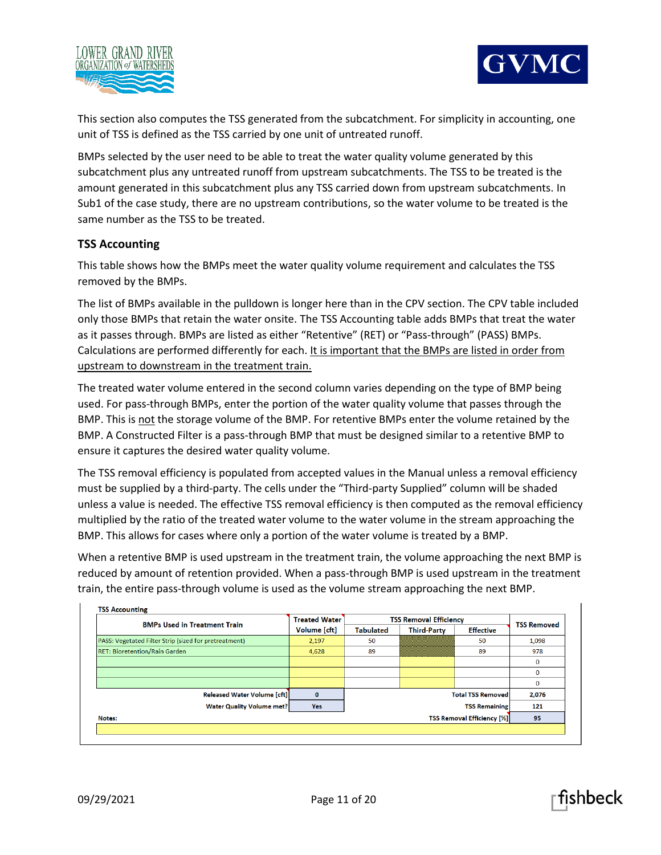



This section also computes the TSS generated from the subcatchment. For simplicity in accounting, one unit of TSS is defined as the TSS carried by one unit of untreated runoff.

BMPs selected by the user need to be able to treat the water quality volume generated by this subcatchment plus any untreated runoff from upstream subcatchments. The TSS to be treated is the amount generated in this subcatchment plus any TSS carried down from upstream subcatchments. In Sub1 of the case study, there are no upstream contributions, so the water volume to be treated is the same number as the TSS to be treated.

# **TSS Accounting**

This table shows how the BMPs meet the water quality volume requirement and calculates the TSS removed by the BMPs.

The list of BMPs available in the pulldown is longer here than in the CPV section. The CPV table included only those BMPs that retain the water onsite. The TSS Accounting table adds BMPs that treat the water as it passes through. BMPs are listed as either "Retentive" (RET) or "Pass-through" (PASS) BMPs. Calculations are performed differently for each. It is important that the BMPs are listed in order from upstream to downstream in the treatment train.

The treated water volume entered in the second column varies depending on the type of BMP being used. For pass-through BMPs, enter the portion of the water quality volume that passes through the BMP. This is not the storage volume of the BMP. For retentive BMPs enter the volume retained by the BMP. A Constructed Filter is a pass-through BMP that must be designed similar to a retentive BMP to ensure it captures the desired water quality volume.

The TSS removal efficiency is populated from accepted values in the Manual unless a removal efficiency must be supplied by a third-party. The cells under the "Third-party Supplied" column will be shaded unless a value is needed. The effective TSS removal efficiency is then computed as the removal efficiency multiplied by the ratio of the treated water volume to the water volume in the stream approaching the BMP. This allows for cases where only a portion of the water volume is treated by a BMP.

When a retentive BMP is used upstream in the treatment train, the volume approaching the next BMP is reduced by amount of retention provided. When a pass-through BMP is used upstream in the treatment train, the entire pass-through volume is used as the volume stream approaching the next BMP.

| <b>BMPs Used in Treatment Train</b>                   | <b>Treated Water</b> | <b>TSS Removal Efficiency</b> | <b>TSS Removed</b>       |                                   |              |
|-------------------------------------------------------|----------------------|-------------------------------|--------------------------|-----------------------------------|--------------|
|                                                       | Volume [cft]         | <b>Tabulated</b>              | <b>Third-Party</b>       | <b>Effective</b>                  |              |
| PASS: Vegetated Filter Strip (sized for pretreatment) | 2,197                | 50                            |                          | 50                                | 1,098        |
| <b>RET: Bioretention/Rain Garden</b>                  | 4,628                | 89                            |                          | 89                                | 978          |
|                                                       |                      |                               |                          |                                   | $\Omega$     |
|                                                       |                      |                               |                          |                                   | $\bf{0}$     |
|                                                       |                      |                               |                          |                                   | $\mathbf{0}$ |
| <b>Released Water Volume [cft]</b>                    | $\bf{0}$             |                               | <b>Total TSS Removed</b> |                                   | 2,076        |
| <b>Water Quality Volume met?</b>                      | <b>Yes</b>           |                               |                          | <b>TSS Remaining</b>              | 121          |
| Notes:                                                |                      |                               |                          | <b>TSS Removal Efficiency [%]</b> | 95           |

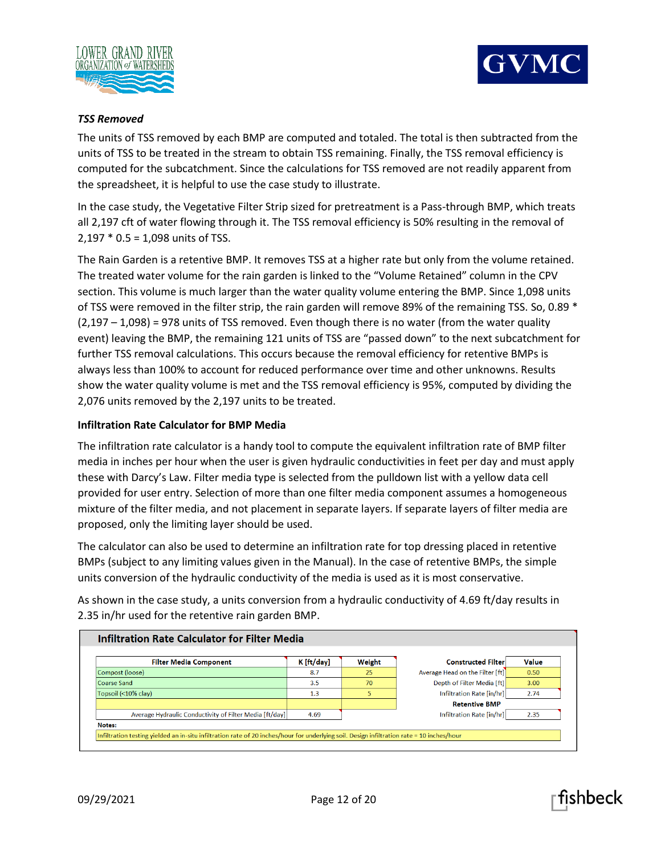



# *TSS Removed*

The units of TSS removed by each BMP are computed and totaled. The total is then subtracted from the units of TSS to be treated in the stream to obtain TSS remaining. Finally, the TSS removal efficiency is computed for the subcatchment. Since the calculations for TSS removed are not readily apparent from the spreadsheet, it is helpful to use the case study to illustrate.

In the case study, the Vegetative Filter Strip sized for pretreatment is a Pass-through BMP, which treats all 2,197 cft of water flowing through it. The TSS removal efficiency is 50% resulting in the removal of 2,197 \* 0.5 = 1,098 units of TSS.

The Rain Garden is a retentive BMP. It removes TSS at a higher rate but only from the volume retained. The treated water volume for the rain garden is linked to the "Volume Retained" column in the CPV section. This volume is much larger than the water quality volume entering the BMP. Since 1,098 units of TSS were removed in the filter strip, the rain garden will remove 89% of the remaining TSS. So, 0.89 \*  $(2,197 - 1,098) = 978$  units of TSS removed. Even though there is no water (from the water quality event) leaving the BMP, the remaining 121 units of TSS are "passed down" to the next subcatchment for further TSS removal calculations. This occurs because the removal efficiency for retentive BMPs is always less than 100% to account for reduced performance over time and other unknowns. Results show the water quality volume is met and the TSS removal efficiency is 95%, computed by dividing the 2,076 units removed by the 2,197 units to be treated.

# **Infiltration Rate Calculator for BMP Media**

The infiltration rate calculator is a handy tool to compute the equivalent infiltration rate of BMP filter media in inches per hour when the user is given hydraulic conductivities in feet per day and must apply these with Darcy's Law. Filter media type is selected from the pulldown list with a yellow data cell provided for user entry. Selection of more than one filter media component assumes a homogeneous mixture of the filter media, and not placement in separate layers. If separate layers of filter media are proposed, only the limiting layer should be used.

The calculator can also be used to determine an infiltration rate for top dressing placed in retentive BMPs (subject to any limiting values given in the Manual). In the case of retentive BMPs, the simple units conversion of the hydraulic conductivity of the media is used as it is most conservative.

As shown in the case study, a units conversion from a hydraulic conductivity of 4.69 ft/day results in 2.35 in/hr used for the retentive rain garden BMP.

| <b>Filter Media Component</b>                           | K [ft/day] | Weight | <b>Constructed Filter</b>       | Value |
|---------------------------------------------------------|------------|--------|---------------------------------|-------|
| Compost (loose)                                         | 8.7        | 25     | Average Head on the Filter [ft] | 0.50  |
| Coarse Sand                                             | 3.5        | 70     | Depth of Filter Media [ft]      | 3.00  |
| Topsoil (<10% clay)                                     | 1.3        | 5      | Infiltration Rate [in/hr]       | 2.74  |
|                                                         |            |        | <b>Retentive BMP</b>            |       |
| Average Hydraulic Conductivity of Filter Media [ft/day] | 4.69       |        | Infiltration Rate [in/hr]       | 2.35  |

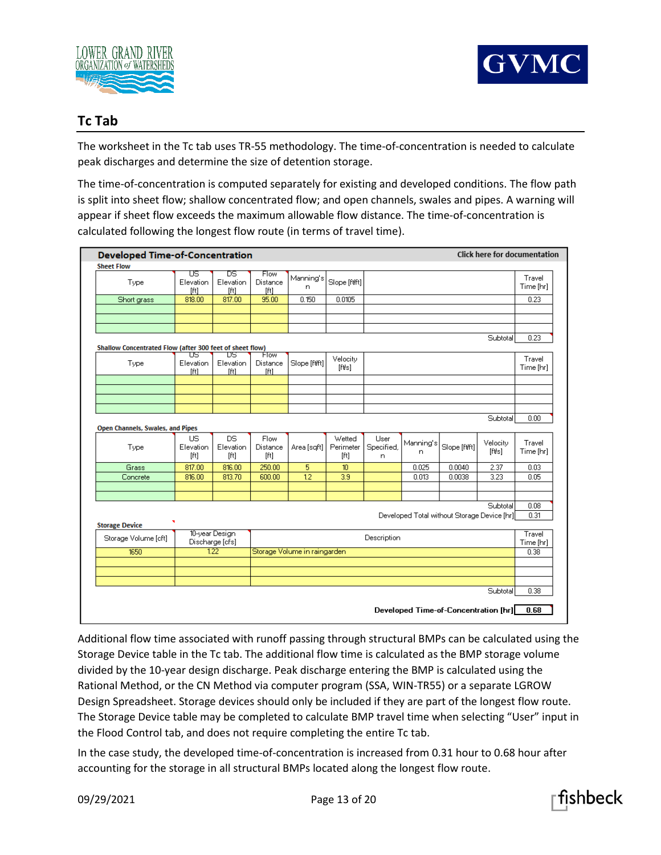



# **Tc Tab**

The worksheet in the Tc tab uses TR-55 methodology. The time-of-concentration is needed to calculate peak discharges and determine the size of detention storage.

The time-of-concentration is computed separately for existing and developed conditions. The flow path is split into sheet flow; shallow concentrated flow; and open channels, swales and pipes. A warning will appear if sheet flow exceeds the maximum allowable flow distance. The time-of-concentration is calculated following the longest flow route (in terms of travel time).

|                                                          |                         | <b>Developed Time-of-Concentration</b> |                                |                              |                     |                    |                 |                                             | <b>Click here for documentation</b> |                     |
|----------------------------------------------------------|-------------------------|----------------------------------------|--------------------------------|------------------------------|---------------------|--------------------|-----------------|---------------------------------------------|-------------------------------------|---------------------|
| <b>Sheet Flow</b>                                        |                         |                                        |                                |                              |                     |                    |                 |                                             |                                     |                     |
| Type                                                     | υs<br>Elevation<br>[ft] | Τ<br>Elevation<br>[ft]                 | Flow<br>Distance<br>[ft]       | Manning's<br>n               | Slope [ftft]        |                    |                 |                                             |                                     | Travel<br>Time [hr] |
| Short grass                                              | 818.00                  | 817.00                                 | 95.00                          | 0.150                        | 0.0105              |                    |                 |                                             |                                     | 0.23                |
|                                                          |                         |                                        |                                |                              |                     |                    |                 |                                             |                                     |                     |
|                                                          |                         |                                        |                                |                              |                     |                    |                 |                                             |                                     |                     |
| Shallow Concentrated Flow (after 300 feet of sheet flow) |                         |                                        |                                |                              |                     |                    |                 |                                             | Subtotal                            | 0.23                |
| Type                                                     | US<br>Elevation<br>[ft] | υs<br>Elevation<br>[ft]                | <b>How</b><br>Distance<br>[ft] | Slope [ftft]                 | Velocity<br>[fbs]   |                    |                 |                                             |                                     | Travel<br>Time [hr] |
|                                                          |                         |                                        |                                |                              |                     |                    |                 |                                             |                                     |                     |
|                                                          |                         |                                        |                                |                              |                     |                    |                 |                                             |                                     |                     |
| Open Channels, Swales, and Pipes                         |                         |                                        |                                |                              |                     |                    |                 |                                             | Subtotal                            | 0.00                |
| Type                                                     | <b>US</b><br>Elevation  | <b>DS</b><br>Elevation                 | Flow<br>Distance               | Area [sqft]                  | Wetted<br>Perimeter | User<br>Specified, | Manning's<br>n. | Slope [ftft]                                | Velocity<br>[ft/s]                  | Travel<br>Time [hr] |
|                                                          | [ft]                    | [ft]                                   | [ft]                           |                              | [ft]                | n                  |                 |                                             |                                     |                     |
| Grass                                                    | 817.00                  | 816.00                                 | 250.00                         | 5                            | 10 <sup>10</sup>    |                    | 0.025           | 0.0040                                      | 2.37                                | 0.03                |
| Concrete                                                 | 816.00                  | 813.70                                 | 600.00                         | $\overline{12}$              | 3.9                 |                    | 0.013           | 0.0038                                      | 3.23                                | 0.05                |
|                                                          |                         |                                        |                                |                              |                     |                    |                 |                                             |                                     |                     |
|                                                          |                         |                                        |                                |                              |                     |                    |                 | Developed Total without Storage Device [hr] | Subtotal                            | 0.08<br>0.31        |
| <b>Storage Device</b><br>Storage Volume [cft]            |                         | 10-year Design<br>Discharge [cfs]      |                                |                              |                     | Description        |                 |                                             |                                     | Travel              |
| 1650                                                     |                         | 122                                    |                                | Storage Volume in raingarden |                     |                    |                 |                                             |                                     | 0.38                |
|                                                          |                         |                                        |                                |                              |                     |                    |                 |                                             |                                     |                     |
|                                                          |                         |                                        |                                |                              |                     |                    |                 |                                             | Subtotal                            | Time [hr]<br>0.38   |

Additional flow time associated with runoff passing through structural BMPs can be calculated using the Storage Device table in the Tc tab. The additional flow time is calculated as the BMP storage volume divided by the 10-year design discharge. Peak discharge entering the BMP is calculated using the Rational Method, or the CN Method via computer program (SSA, WIN-TR55) or a separate LGROW Design Spreadsheet. Storage devices should only be included if they are part of the longest flow route. The Storage Device table may be completed to calculate BMP travel time when selecting "User" input in the Flood Control tab, and does not require completing the entire Tc tab.

In the case study, the developed time-of-concentration is increased from 0.31 hour to 0.68 hour after accounting for the storage in all structural BMPs located along the longest flow route.

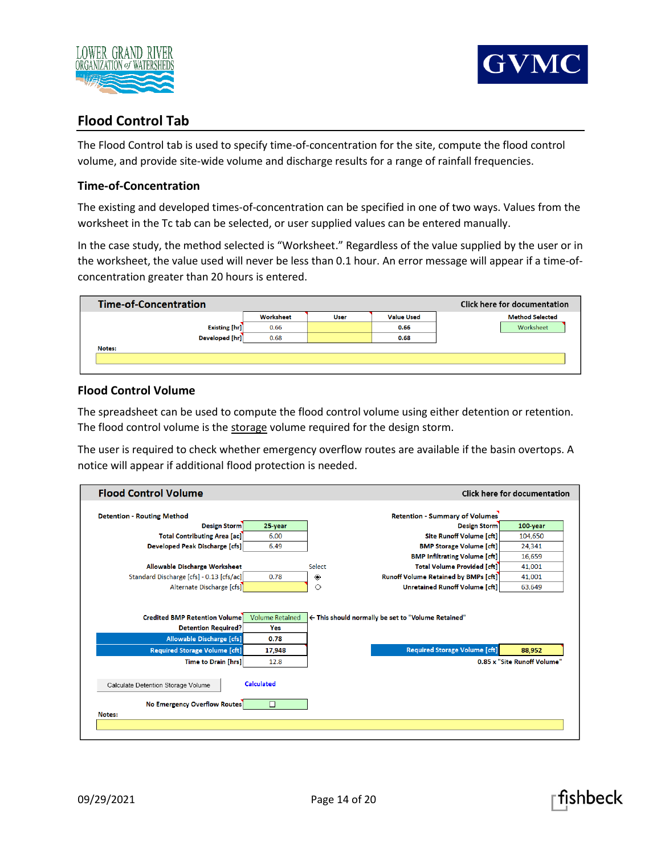



# **Flood Control Tab**

The Flood Control tab is used to specify time-of-concentration for the site, compute the flood control volume, and provide site-wide volume and discharge results for a range of rainfall frequencies.

# **Time-of-Concentration**

The existing and developed times-of-concentration can be specified in one of two ways. Values from the worksheet in the Tc tab can be selected, or user supplied values can be entered manually.

In the case study, the method selected is "Worksheet." Regardless of the value supplied by the user or in the worksheet, the value used will never be less than 0.1 hour. An error message will appear if a time-ofconcentration greater than 20 hours is entered.

| <b>Time-of-Concentration</b> |           |             |                   | <b>Click here for documentation</b> |
|------------------------------|-----------|-------------|-------------------|-------------------------------------|
|                              | Worksheet | <b>User</b> | <b>Value Used</b> | <b>Method Selected</b>              |
| <b>Existing [hr]</b>         | 0.66      |             | 0.66              | Worksheet                           |
| Developed [hr]               | 0.68      |             | 0.68              |                                     |
| Notes:                       |           |             |                   |                                     |
|                              |           |             |                   |                                     |
|                              |           |             |                   |                                     |

# **Flood Control Volume**

The spreadsheet can be used to compute the flood control volume using either detention or retention. The flood control volume is the storage volume required for the design storm.

The user is required to check whether emergency overflow routes are available if the basin overtops. A notice will appear if additional flood protection is needed.

| <b>Flood Control Volume</b>                                              |                        |                                                     | <b>Click here for documentation</b> |
|--------------------------------------------------------------------------|------------------------|-----------------------------------------------------|-------------------------------------|
| <b>Detention - Routing Method</b>                                        |                        | <b>Retention - Summary of Volumes</b>               |                                     |
| <b>Design Storm</b>                                                      | 25-year                | <b>Design Storm</b>                                 | 100-year                            |
| <b>Total Contributing Area [ac]</b>                                      | 6.00                   | <b>Site Runoff Volume [cft]</b>                     | 104,650                             |
| <b>Developed Peak Discharge [cfs]</b>                                    | 6.49                   | <b>BMP Storage Volume [cft]</b>                     | 24,341                              |
|                                                                          |                        | <b>BMP Infiltrating Volume [cft]</b>                | 16,659                              |
| Allowable Discharge Worksheet                                            |                        | <b>Select</b><br><b>Total Volume Provided [cft]</b> | 41,001                              |
| Standard Discharge [cfs] - 0.13 [cfs/ac]]                                | 0.78                   | Runoff Volume Retained by BMPs [cft]<br>۰           | 41,001                              |
| Alternate Discharge [cfs]                                                |                        | <b>Unretained Runoff Volume [cft]</b><br>◇          | 63,649                              |
| <b>Credited BMP Retention Volume</b>                                     | <b>Volume Retained</b> | ← This should normally be set to "Volume Retained"  |                                     |
| <b>Detention Required?</b>                                               | Yes<br>0.78            |                                                     |                                     |
| <b>Allowable Discharge [cfs]</b><br><b>Required Storage Volume [cft]</b> | 17,948                 | <b>Required Storage Volume [cft]</b>                | 88,952                              |
| <b>Time to Drain [hrs]</b>                                               | 12.8                   |                                                     | 0.85 x "Site Runoff Volume"         |
| Calculate Detention Storage Volume                                       | <b>Calculated</b>      |                                                     |                                     |
| <b>No Emergency Overflow Routes</b><br>Notes:                            | $\Box$                 |                                                     |                                     |

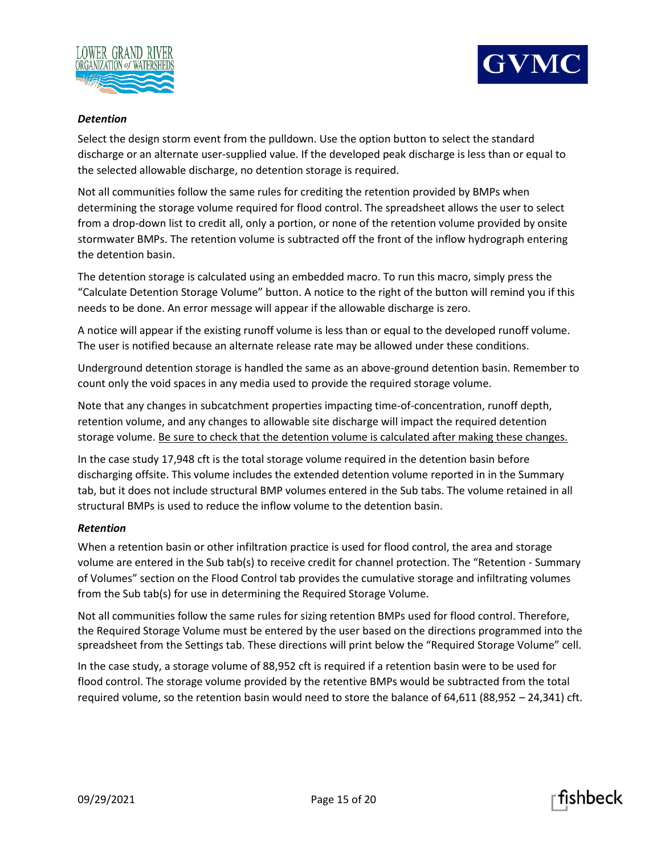



#### *Detention*

Select the design storm event from the pulldown. Use the option button to select the standard discharge or an alternate user-supplied value. If the developed peak discharge is less than or equal to the selected allowable discharge, no detention storage is required.

Not all communities follow the same rules for crediting the retention provided by BMPs when determining the storage volume required for flood control. The spreadsheet allows the user to select from a drop-down list to credit all, only a portion, or none of the retention volume provided by onsite stormwater BMPs. The retention volume is subtracted off the front of the inflow hydrograph entering the detention basin.

The detention storage is calculated using an embedded macro. To run this macro, simply press the "Calculate Detention Storage Volume" button. A notice to the right of the button will remind you if this needs to be done. An error message will appear if the allowable discharge is zero.

A notice will appear if the existing runoff volume is less than or equal to the developed runoff volume. The user is notified because an alternate release rate may be allowed under these conditions.

Underground detention storage is handled the same as an above-ground detention basin. Remember to count only the void spaces in any media used to provide the required storage volume.

Note that any changes in subcatchment properties impacting time-of-concentration, runoff depth, retention volume, and any changes to allowable site discharge will impact the required detention storage volume. Be sure to check that the detention volume is calculated after making these changes.

In the case study 17,948 cft is the total storage volume required in the detention basin before discharging offsite. This volume includes the extended detention volume reported in in the Summary tab, but it does not include structural BMP volumes entered in the Sub tabs. The volume retained in all structural BMPs is used to reduce the inflow volume to the detention basin.

# *Retention*

When a retention basin or other infiltration practice is used for flood control, the area and storage volume are entered in the Sub tab(s) to receive credit for channel protection. The "Retention - Summary of Volumes" section on the Flood Control tab provides the cumulative storage and infiltrating volumes from the Sub tab(s) for use in determining the Required Storage Volume.

Not all communities follow the same rules for sizing retention BMPs used for flood control. Therefore, the Required Storage Volume must be entered by the user based on the directions programmed into the spreadsheet from the Settings tab. These directions will print below the "Required Storage Volume" cell.

In the case study, a storage volume of 88,952 cft is required if a retention basin were to be used for flood control. The storage volume provided by the retentive BMPs would be subtracted from the total required volume, so the retention basin would need to store the balance of 64,611 (88,952 – 24,341) cft.

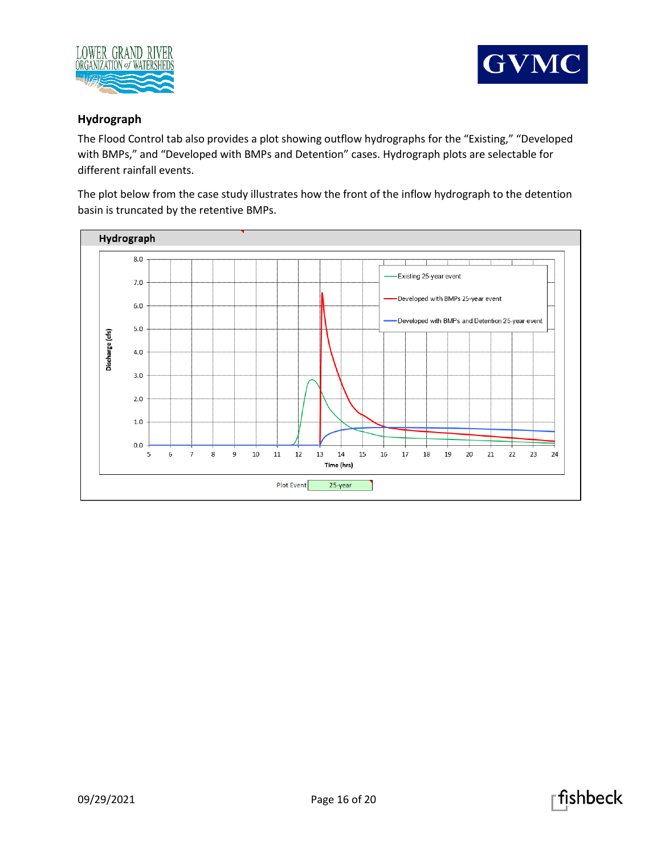



# **Hydrograph**

The Flood Control tab also provides a plot showing outflow hydrographs for the "Existing," "Developed with BMPs," and "Developed with BMPs and Detention" cases. Hydrograph plots are selectable for different rainfall events.

The plot below from the case study illustrates how the front of the inflow hydrograph to the detention basin is truncated by the retentive BMPs.



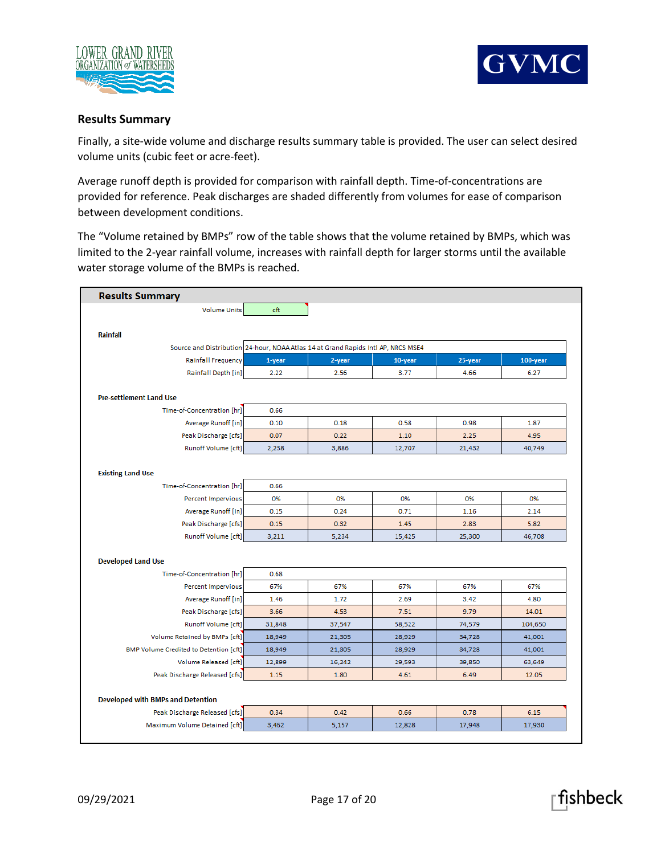



#### **Results Summary**

Finally, a site-wide volume and discharge results summary table is provided. The user can select desired volume units (cubic feet or acre-feet).

Average runoff depth is provided for comparison with rainfall depth. Time-of-concentrations are provided for reference. Peak discharges are shaded differently from volumes for ease of comparison between development conditions.

The "Volume retained by BMPs" row of the table shows that the volume retained by BMPs, which was limited to the 2-year rainfall volume, increases with rainfall depth for larger storms until the available water storage volume of the BMPs is reached.

| <b>Results Summary</b>                                                            |        |        |            |         |          |
|-----------------------------------------------------------------------------------|--------|--------|------------|---------|----------|
| <b>Volume Units</b>                                                               | cft    |        |            |         |          |
|                                                                                   |        |        |            |         |          |
| <b>Rainfall</b>                                                                   |        |        |            |         |          |
| Source and Distribution 24-hour, NOAA Atlas 14 at Grand Rapids Intl AP, NRCS MSE4 |        |        |            |         |          |
| Rainfall Frequency                                                                | 1-year | 2-year | $10$ -year | 25-year | 100-year |
| Rainfall Depth [in]                                                               | 2.22   | 2.56   | 3.77       | 4.66    | 6.27     |
|                                                                                   |        |        |            |         |          |
| <b>Pre-settlement Land Use</b>                                                    |        |        |            |         |          |
| Time-of-Concentration [hr]                                                        | 0.66   |        |            |         |          |
| Average Runoff [in]                                                               | 0.10   | 0.18   | 0.58       | 0.98    | 1.87     |
| Peak Discharge [cfs]                                                              | 0.07   | 0.22   | 1.10       | 2.25    | 4.95     |
| Runoff Volume [cft]                                                               | 2,238  | 3,886  | 12,707     | 21,432  | 40,749   |
| <b>Existing Land Use</b>                                                          |        |        |            |         |          |
| Time-of-Concentration [hr]                                                        | 0.66   |        |            |         |          |
| Percent Impervious                                                                | 0%     | 0%     | 0%         | 0%      | 0%       |
| Average Runoff [in]                                                               | 0.15   | 0.24   | 0.71       | 1.16    | 2.14     |
| Peak Discharge [cfs]                                                              | 0.15   | 0.32   | 1.45       | 2.83    | 5.82     |
| Runoff Volume [cft]                                                               | 3,211  | 5,234  | 15,425     | 25,300  | 46,708   |
|                                                                                   |        |        |            |         |          |
| <b>Developed Land Use</b>                                                         |        |        |            |         |          |
| Time-of-Concentration [hr]                                                        | 0.68   |        |            |         |          |
| Percent Impervious                                                                | 67%    | 67%    | 67%        | 67%     | 67%      |
| Average Runoff [in]                                                               | 1.46   | 1.72   | 2.69       | 3.42    | 4.80     |
| Peak Discharge [cfs]                                                              | 3.66   | 4.53   | 7.51       | 9.79    | 14.01    |
| Runoff Volume [cft]                                                               | 31,848 | 37,547 | 58,522     | 74,579  | 104,650  |
| Volume Retained by BMPs [cft]                                                     | 18,949 | 21,305 | 28,929     | 34,728  | 41,001   |
| <b>BMP Volume Credited to Detention [cft]</b>                                     | 18,949 | 21,305 | 28,929     | 34,728  | 41,001   |
| Volume Released [cft]                                                             | 12,899 | 16,242 | 29,593     | 39,850  | 63,649   |
| Peak Discharge Released [cfs]                                                     | 1.15   | 1.80   | 4.61       | 6.49    | 12.05    |
|                                                                                   |        |        |            |         |          |
| <b>Developed with BMPs and Detention</b>                                          |        |        |            |         |          |
| Peak Discharge Released [cfs]                                                     | 0.34   | 0.42   | 0.66       | 0.78    | 6.15     |
| Maximum Volume Detained [cft]                                                     | 3,462  | 5,157  | 12,828     | 17,948  | 17,930   |

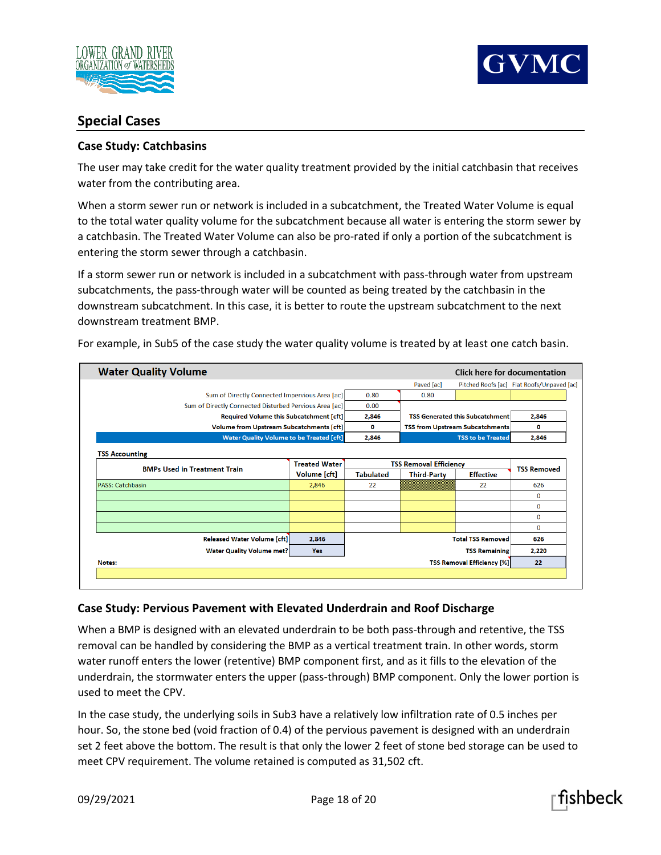



# **Special Cases**

# **Case Study: Catchbasins**

The user may take credit for the water quality treatment provided by the initial catchbasin that receives water from the contributing area.

When a storm sewer run or network is included in a subcatchment, the Treated Water Volume is equal to the total water quality volume for the subcatchment because all water is entering the storm sewer by a catchbasin. The Treated Water Volume can also be pro-rated if only a portion of the subcatchment is entering the storm sewer through a catchbasin.

If a storm sewer run or network is included in a subcatchment with pass-through water from upstream subcatchments, the pass-through water will be counted as being treated by the catchbasin in the downstream subcatchment. In this case, it is better to route the upstream subcatchment to the next downstream treatment BMP.

**Water Quality Volume** Click here for documentation Pitched Roofs [ac] Flat Roofs/Unpaved [ac] Paved [ac] Sum of Directly Connected Impervious Area [ac] 0.80 0.80  $0.00$ Sum of Directly Connected Disturbed Pervious Area [ac] Required Volume this Subcatchment [cft] 2,846 **TSS Generated this Subcatchment** 2,846 Volume from Upstream Subcatchments [cft] TSS from Upstream Subcatchments  $\bf{0}$  $\mathbf 0$ Water Quality Volume to be Treated [cft] 2.846 2.846 **TSS to be Treated TSS Accounting TSS Removal Efficiency Treated Water TSS Removed BMPs Used in Treatment Train** Volume [cft] **Third-Party Effective Tabulated** PASS: Catchbasin 2,846  $22$  $22$ 626  $\mathbf 0$  $\mathbf 0$  $\overline{\mathbf{0}}$  $\mathbf{0}$ **Released Water Volume [cft]** 2,846 **Total TSS Removed** 626 **Water Quality Volume met? TSS Remaining** 2,220 Yes **TSS Removal Efficiency [%]** 22 Notes:

For example, in Sub5 of the case study the water quality volume is treated by at least one catch basin.

# **Case Study: Pervious Pavement with Elevated Underdrain and Roof Discharge**

When a BMP is designed with an elevated underdrain to be both pass-through and retentive, the TSS removal can be handled by considering the BMP as a vertical treatment train. In other words, storm water runoff enters the lower (retentive) BMP component first, and as it fills to the elevation of the underdrain, the stormwater enters the upper (pass-through) BMP component. Only the lower portion is used to meet the CPV.

In the case study, the underlying soils in Sub3 have a relatively low infiltration rate of 0.5 inches per hour. So, the stone bed (void fraction of 0.4) of the pervious pavement is designed with an underdrain set 2 feet above the bottom. The result is that only the lower 2 feet of stone bed storage can be used to meet CPV requirement. The volume retained is computed as 31,502 cft.

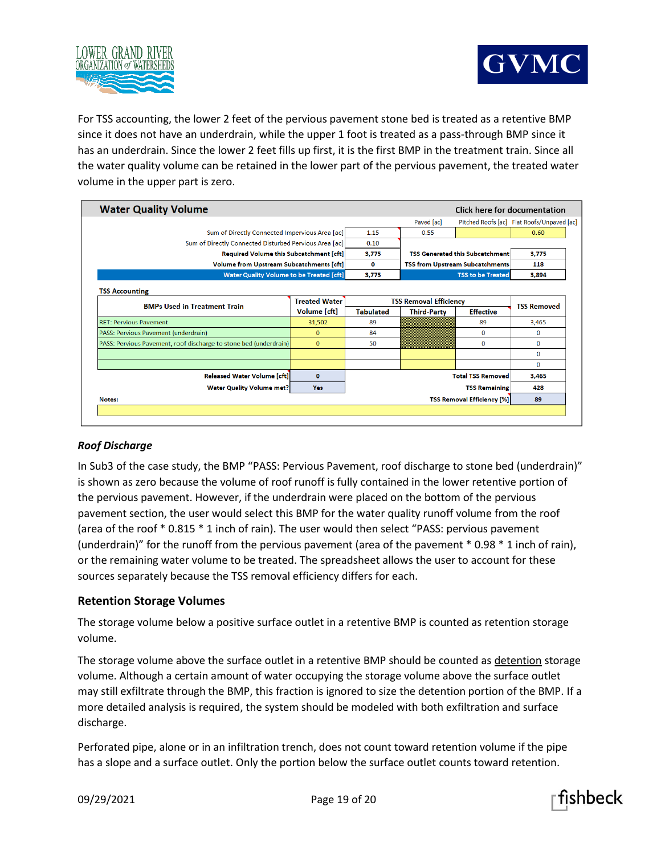



For TSS accounting, the lower 2 feet of the pervious pavement stone bed is treated as a retentive BMP since it does not have an underdrain, while the upper 1 foot is treated as a pass-through BMP since it has an underdrain. Since the lower 2 feet fills up first, it is the first BMP in the treatment train. Since all the water quality volume can be retained in the lower part of the pervious pavement, the treated water volume in the upper part is zero.

| <b>Water Quality Volume</b>                                       |                      |                               | Click here for documentation           |                          |                                            |
|-------------------------------------------------------------------|----------------------|-------------------------------|----------------------------------------|--------------------------|--------------------------------------------|
|                                                                   |                      |                               | Paved [ac]                             |                          | Pitched Roofs [ac] Flat Roofs/Unpaved [ac] |
| Sum of Directly Connected Impervious Area [ac]                    |                      | 1.15                          | 0.55                                   |                          | 0.60                                       |
| Sum of Directly Connected Disturbed Pervious Area [ac]            | 0.10                 |                               |                                        |                          |                                            |
| Required Volume this Subcatchment [cft]                           | 3.775                |                               | <b>TSS Generated this Subcatchment</b> | 3.775                    |                                            |
| <b>Volume from Upstream Subcatchments [cft]</b>                   |                      | 0                             | <b>TSS from Upstream Subcatchments</b> |                          | 118                                        |
| <b>Water Quality Volume to be Treated [cft]</b>                   |                      | 3.775                         |                                        | <b>TSS to be Treated</b> | 3.894                                      |
| <b>TSS Accounting</b>                                             |                      |                               |                                        |                          |                                            |
| <b>BMPs Used in Treatment Train</b>                               | <b>Treated Water</b> | <b>TSS Removal Efficiency</b> |                                        |                          | <b>TSS Removed</b>                         |
|                                                                   | Volume [cft]         | <b>Tabulated</b>              | <b>Third-Party</b>                     | <b>Effective</b>         |                                            |
| <b>RET: Pervious Pavement</b>                                     | 31,502               | 89                            |                                        | 89                       | 3,465                                      |
|                                                                   |                      |                               |                                        |                          |                                            |
| PASS: Pervious Pavement (underdrain)                              | $\mathbf{0}$         | 84                            |                                        | $\bf{0}$                 | $\mathbf{0}$                               |
| PASS: Pervious Pavement, roof discharge to stone bed (underdrain) | $\Omega$             | 50                            |                                        | $\mathbf{0}$             | $\mathbf{0}$                               |
|                                                                   |                      |                               |                                        |                          | $\mathbf 0$                                |
|                                                                   |                      |                               |                                        |                          | $\Omega$                                   |
| <b>Released Water Volume [cft]</b>                                | $\mathbf{0}$         |                               |                                        | <b>Total TSS Removed</b> | 3.465                                      |
| <b>Water Quality Volume met?</b>                                  | <b>Yes</b>           |                               |                                        | <b>TSS Remaining</b>     | 428                                        |

# *Roof Discharge*

In Sub3 of the case study, the BMP "PASS: Pervious Pavement, roof discharge to stone bed (underdrain)" is shown as zero because the volume of roof runoff is fully contained in the lower retentive portion of the pervious pavement. However, if the underdrain were placed on the bottom of the pervious pavement section, the user would select this BMP for the water quality runoff volume from the roof (area of the roof \* 0.815 \* 1 inch of rain). The user would then select "PASS: pervious pavement (underdrain)" for the runoff from the pervious pavement (area of the pavement \* 0.98 \* 1 inch of rain), or the remaining water volume to be treated. The spreadsheet allows the user to account for these sources separately because the TSS removal efficiency differs for each.

# **Retention Storage Volumes**

The storage volume below a positive surface outlet in a retentive BMP is counted as retention storage volume.

The storage volume above the surface outlet in a retentive BMP should be counted as detention storage volume. Although a certain amount of water occupying the storage volume above the surface outlet may still exfiltrate through the BMP, this fraction is ignored to size the detention portion of the BMP. If a more detailed analysis is required, the system should be modeled with both exfiltration and surface discharge.

Perforated pipe, alone or in an infiltration trench, does not count toward retention volume if the pipe has a slope and a surface outlet. Only the portion below the surface outlet counts toward retention.